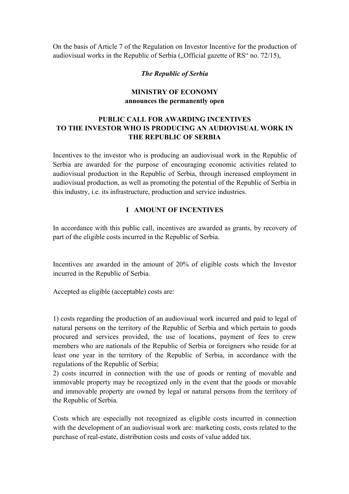On the basis of Article 7 of the Regulation on Investor Incentive for the production of audiovisual works in the Republic of Serbia  $($ . Official gazette of RS $\degree$  no. 72/15),

### *The Republic of Serbia*

## **MINISTRY OF ECONOMY announces the permanently open**

# **PUBLIC CALL FOR AWARDING INCENTIVES TO THE INVESTOR WHO IS PRODUCING AN AUDIOVISUAL WORK IN THE REPUBLIC OF SERBIA**

Incentives to the investor who is producing an audiovisual work in the Republic of Serbia are awarded for the purpose of encouraging economic activities related to audiovisual production in the Republic of Serbia, through increased employment in audiovisual production, as well as promoting the potential of the Republic of Serbia in this industry, i.e. its infrastructure, production and service industries.

### **I AMOUNT OF INCENTIVES**

In accordance with this public call, incentives are awarded as grants, by recovery of part of the eligible costs incurred in the Republic of Serbia.

Incentives are awarded in the amount of 20% of eligible costs which the Investor incurred in the Republic of Serbia.

Accepted as eligible (acceptable) costs are:

1) costs regarding the production of an audiovisual work incurred and paid to legal of natural persons on the territory of the Republic of Serbia and which pertain to goods procured and services provided, the use of locations, payment of fees to crew members who are nationals of the Republic of Serbia or foreigners who reside for at least one year in the territory of the Republic of Serbia, in accordance with the regulations of the Republic of Serbia;

2) costs incurred in connection with the use of goods or renting of movable and immovable property may be recognized only in the event that the goods or movable and immovable property are owned by legal or natural persons from the territory of the Republic of Serbia.

Costs which are especially not recognized as eligible costs incurred in connection with the development of an audiovisual work are: marketing costs, costs related to the purchase of real-estate, distribution costs and costs of value added tax.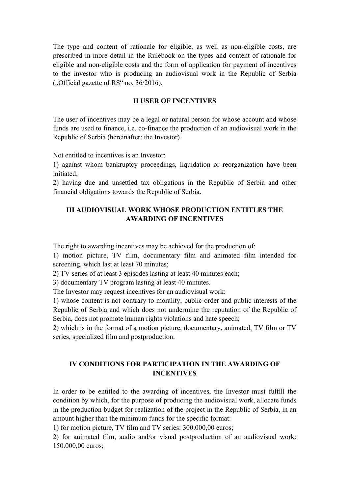The type and content of rationale for eligible, as well as non-eligible costs, are prescribed in more detail in the Rulebook on the types and content of rationale for eligible and non-eligible costs and the form of application for payment of incentives to the investor who is producing an audiovisual work in the Republic of Serbia  $($ <sub>1</sub>Official gazette of RS<sup> $\cdot$ </sup> no. 36/2016).

#### **II USER OF INCENTIVES**

The user of incentives may be a legal or natural person for whose account and whose funds are used to finance, i.e. co-finance the production of an audiovisual work in the Republic of Serbia (hereinafter: the Investor).

Not entitled to incentives is an Investor:

1) against whom bankruptcy proceedings, liquidation or reorganization have been initiated;

2) having due and unsettled tax obligations in the Republic of Serbia and other financial obligations towards the Republic of Serbia.

### **III AUDIOVISUAL WORK WHOSE PRODUCTION ENTITLES THE AWARDING OF INCENTIVES**

The right to awarding incentives may be achieved for the production of:

1) motion picture, TV film, documentary film and animated film intended for screening, which last at least 70 minutes;

2) TV series of at least 3 episodes lasting at least 40 minutes each;

3) documentary TV program lasting at least 40 minutes.

The Investor may request incentives for an audiovisual work:

1) whose content is not contrary to morality, public order and public interests of the Republic of Serbia and which does not undermine the reputation of the Republic of Serbia, does not promote human rights violations and hate speech;

2) which is in the format of a motion picture, documentary, animated, TV film or TV series, specialized film and postproduction.

### **IV CONDITIONS FOR PARTICIPATION IN THE AWARDING OF INCENTIVES**

In order to be entitled to the awarding of incentives, the Investor must fulfill the condition by which, for the purpose of producing the audiovisual work, allocate funds in the production budget for realization of the project in the Republic of Serbia, in an amount higher than the minimum funds for the specific format:

1) for motion picture, TV film and TV series: 300.000,00 euros;

2) for animated film, audio and/or visual postproduction of an audiovisual work: 150.000,00 euros;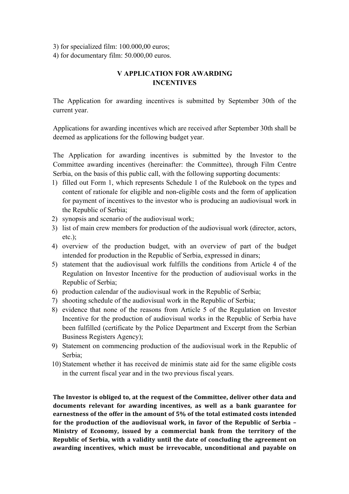3) for specialized film: 100.000,00 euros;

4) for documentary film: 50.000,00 euros.

# **V APPLICATION FOR AWARDING INCENTIVES**

The Application for awarding incentives is submitted by September 30th of the current year.

Applications for awarding incentives which are received after September 30th shall be deemed as applications for the following budget year.

The Application for awarding incentives is submitted by the Investor to the Committee awarding incentives (hereinafter: the Committee), through Film Centre Serbia, on the basis of this public call, with the following supporting documents:

- 1) filled out Form 1, which represents Schedule 1 of the Rulebook on the types and content of rationale for eligible and non-eligible costs and the form of application for payment of incentives to the investor who is producing an audiovisual work in the Republic of Serbia;
- 2) synopsis and scenario of the audiovisual work;
- 3) list of main crew members for production of the audiovisual work (director, actors,  $etc.$ );
- 4) overview of the production budget, with an overview of part of the budget intended for production in the Republic of Serbia, expressed in dinars;
- 5) statement that the audiovisual work fulfills the conditions from Article 4 of the Regulation on Investor Incentive for the production of audiovisual works in the Republic of Serbia;
- 6) production calendar of the audiovisual work in the Republic of Serbia;
- 7) shooting schedule of the audiovisual work in the Republic of Serbia;
- 8) evidence that none of the reasons from Article 5 of the Regulation on Investor Incentive for the production of audiovisual works in the Republic of Serbia have been fulfilled (certificate by the Police Department and Excerpt from the Serbian Business Registers Agency);
- 9) Statement on commencing production of the audiovisual work in the Republic of Serbia;
- 10) Statement whether it has received de minimis state aid for the same eligible costs in the current fiscal year and in the two previous fiscal years.

The Investor is obliged to, at the request of the Committee, deliver other data and documents relevant for awarding incentives, as well as a bank guarantee for earnestness of the offer in the amount of 5% of the total estimated costs intended for the production of the audiovisual work, in favor of the Republic of Serbia -**Ministry** of Economy, issued by a commercial bank from the territory of the **Republic** of Serbia, with a validity until the date of concluding the agreement on awarding incentives, which must be irrevocable, unconditional and payable on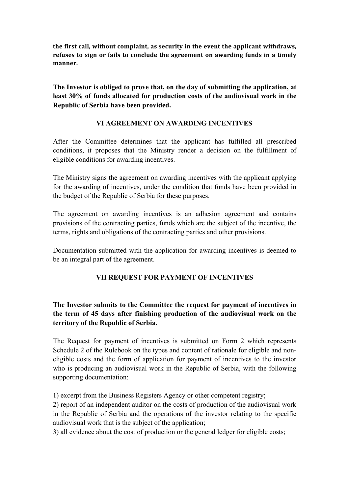the first call, without complaint, as security in the event the applicant withdraws, refuses to sign or fails to conclude the agreement on awarding funds in a timely **manner.**

**The Investor is obliged to prove that, on the day of submitting the application, at least 30% of funds allocated for production costs of the audiovisual work in the Republic of Serbia have been provided.**

## **VI AGREEMENT ON AWARDING INCENTIVES**

After the Committee determines that the applicant has fulfilled all prescribed conditions, it proposes that the Ministry render a decision on the fulfillment of eligible conditions for awarding incentives.

The Ministry signs the agreement on awarding incentives with the applicant applying for the awarding of incentives, under the condition that funds have been provided in the budget of the Republic of Serbia for these purposes.

The agreement on awarding incentives is an adhesion agreement and contains provisions of the contracting parties, funds which are the subject of the incentive, the terms, rights and obligations of the contracting parties and other provisions.

Documentation submitted with the application for awarding incentives is deemed to be an integral part of the agreement.

# **VII REQUEST FOR PAYMENT OF INCENTIVES**

**The Investor submits to the Committee the request for payment of incentives in the term of 45 days after finishing production of the audiovisual work on the territory of the Republic of Serbia.**

The Request for payment of incentives is submitted on Form 2 which represents Schedule 2 of the Rulebook on the types and content of rationale for eligible and noneligible costs and the form of application for payment of incentives to the investor who is producing an audiovisual work in the Republic of Serbia, with the following supporting documentation:

1) excerpt from the Business Registers Agency or other competent registry;

2) report of an independent auditor on the costs of production of the audiovisual work in the Republic of Serbia and the operations of the investor relating to the specific audiovisual work that is the subject of the application;

3) all evidence about the cost of production or the general ledger for eligible costs;